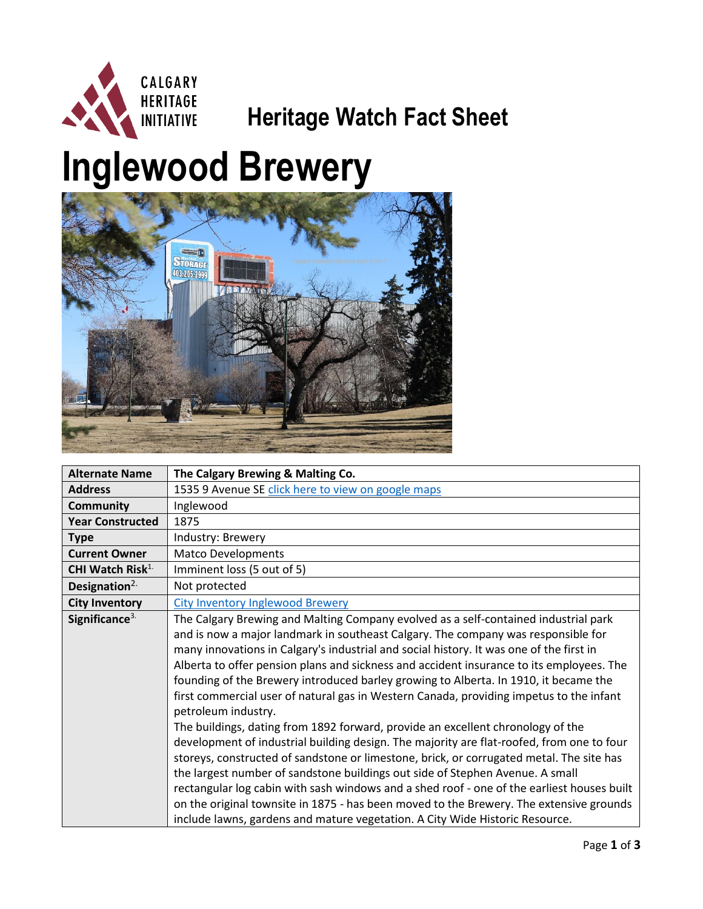

## **Heritage Watch Fact Sheet**

## **Inglewood Brewery**



| <b>Alternate Name</b>        | The Calgary Brewing & Malting Co.                                                                                                                                                                                                                                                                                                                                                                                                                                                                                                                                                                                                                                                                                                                                                                                                                                                                                                                                                                                                                                                                                                                                                                               |
|------------------------------|-----------------------------------------------------------------------------------------------------------------------------------------------------------------------------------------------------------------------------------------------------------------------------------------------------------------------------------------------------------------------------------------------------------------------------------------------------------------------------------------------------------------------------------------------------------------------------------------------------------------------------------------------------------------------------------------------------------------------------------------------------------------------------------------------------------------------------------------------------------------------------------------------------------------------------------------------------------------------------------------------------------------------------------------------------------------------------------------------------------------------------------------------------------------------------------------------------------------|
| <b>Address</b>               | 1535 9 Avenue SE click here to view on google maps                                                                                                                                                                                                                                                                                                                                                                                                                                                                                                                                                                                                                                                                                                                                                                                                                                                                                                                                                                                                                                                                                                                                                              |
| <b>Community</b>             | Inglewood                                                                                                                                                                                                                                                                                                                                                                                                                                                                                                                                                                                                                                                                                                                                                                                                                                                                                                                                                                                                                                                                                                                                                                                                       |
| <b>Year Constructed</b>      | 1875                                                                                                                                                                                                                                                                                                                                                                                                                                                                                                                                                                                                                                                                                                                                                                                                                                                                                                                                                                                                                                                                                                                                                                                                            |
| <b>Type</b>                  | Industry: Brewery                                                                                                                                                                                                                                                                                                                                                                                                                                                                                                                                                                                                                                                                                                                                                                                                                                                                                                                                                                                                                                                                                                                                                                                               |
| <b>Current Owner</b>         | <b>Matco Developments</b>                                                                                                                                                                                                                                                                                                                                                                                                                                                                                                                                                                                                                                                                                                                                                                                                                                                                                                                                                                                                                                                                                                                                                                                       |
| CHI Watch Risk <sup>1.</sup> | Imminent loss (5 out of 5)                                                                                                                                                                                                                                                                                                                                                                                                                                                                                                                                                                                                                                                                                                                                                                                                                                                                                                                                                                                                                                                                                                                                                                                      |
| Designation $2$ .            | Not protected                                                                                                                                                                                                                                                                                                                                                                                                                                                                                                                                                                                                                                                                                                                                                                                                                                                                                                                                                                                                                                                                                                                                                                                                   |
| <b>City Inventory</b>        | <b>City Inventory Inglewood Brewery</b>                                                                                                                                                                                                                                                                                                                                                                                                                                                                                                                                                                                                                                                                                                                                                                                                                                                                                                                                                                                                                                                                                                                                                                         |
| Significance <sup>3.</sup>   | The Calgary Brewing and Malting Company evolved as a self-contained industrial park<br>and is now a major landmark in southeast Calgary. The company was responsible for<br>many innovations in Calgary's industrial and social history. It was one of the first in<br>Alberta to offer pension plans and sickness and accident insurance to its employees. The<br>founding of the Brewery introduced barley growing to Alberta. In 1910, it became the<br>first commercial user of natural gas in Western Canada, providing impetus to the infant<br>petroleum industry.<br>The buildings, dating from 1892 forward, provide an excellent chronology of the<br>development of industrial building design. The majority are flat-roofed, from one to four<br>storeys, constructed of sandstone or limestone, brick, or corrugated metal. The site has<br>the largest number of sandstone buildings out side of Stephen Avenue. A small<br>rectangular log cabin with sash windows and a shed roof - one of the earliest houses built<br>on the original townsite in 1875 - has been moved to the Brewery. The extensive grounds<br>include lawns, gardens and mature vegetation. A City Wide Historic Resource. |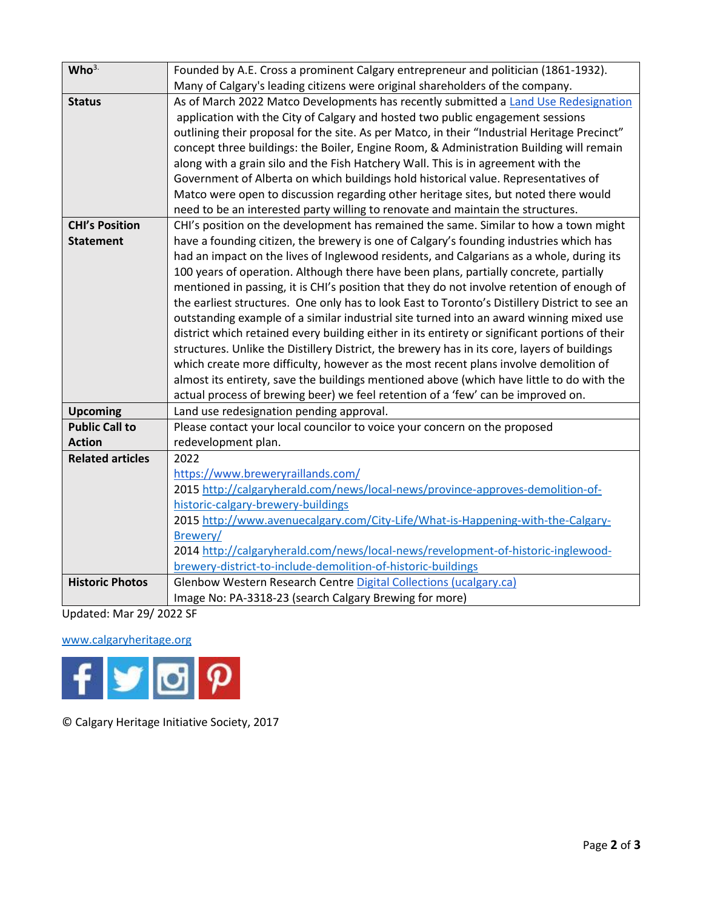| Who <sup>3</sup>        | Founded by A.E. Cross a prominent Calgary entrepreneur and politician (1861-1932).             |
|-------------------------|------------------------------------------------------------------------------------------------|
|                         | Many of Calgary's leading citizens were original shareholders of the company.                  |
| <b>Status</b>           | As of March 2022 Matco Developments has recently submitted a Land Use Redesignation            |
|                         | application with the City of Calgary and hosted two public engagement sessions                 |
|                         | outlining their proposal for the site. As per Matco, in their "Industrial Heritage Precinct"   |
|                         | concept three buildings: the Boiler, Engine Room, & Administration Building will remain        |
|                         | along with a grain silo and the Fish Hatchery Wall. This is in agreement with the              |
|                         | Government of Alberta on which buildings hold historical value. Representatives of             |
|                         | Matco were open to discussion regarding other heritage sites, but noted there would            |
|                         | need to be an interested party willing to renovate and maintain the structures.                |
| <b>CHI's Position</b>   | CHI's position on the development has remained the same. Similar to how a town might           |
| <b>Statement</b>        | have a founding citizen, the brewery is one of Calgary's founding industries which has         |
|                         | had an impact on the lives of Inglewood residents, and Calgarians as a whole, during its       |
|                         | 100 years of operation. Although there have been plans, partially concrete, partially          |
|                         | mentioned in passing, it is CHI's position that they do not involve retention of enough of     |
|                         | the earliest structures. One only has to look East to Toronto's Distillery District to see an  |
|                         | outstanding example of a similar industrial site turned into an award winning mixed use        |
|                         | district which retained every building either in its entirety or significant portions of their |
|                         | structures. Unlike the Distillery District, the brewery has in its core, layers of buildings   |
|                         | which create more difficulty, however as the most recent plans involve demolition of           |
|                         | almost its entirety, save the buildings mentioned above (which have little to do with the      |
|                         | actual process of brewing beer) we feel retention of a 'few' can be improved on.               |
| <b>Upcoming</b>         | Land use redesignation pending approval.                                                       |
| <b>Public Call to</b>   | Please contact your local councilor to voice your concern on the proposed                      |
| <b>Action</b>           | redevelopment plan.                                                                            |
| <b>Related articles</b> | 2022                                                                                           |
|                         | https://www.breweryraillands.com/                                                              |
|                         | 2015 http://calgaryherald.com/news/local-news/province-approves-demolition-of-                 |
|                         | historic-calgary-brewery-buildings                                                             |
|                         | 2015 http://www.avenuecalgary.com/City-Life/What-is-Happening-with-the-Calgary-                |
|                         | Brewery/                                                                                       |
|                         | 2014 http://calgaryherald.com/news/local-news/revelopment-of-historic-inglewood-               |
|                         | brewery-district-to-include-demolition-of-historic-buildings                                   |
| <b>Historic Photos</b>  | Glenbow Western Research Centre Digital Collections (ucalgary.ca)                              |
|                         | Image No: PA-3318-23 (search Calgary Brewing for more)                                         |

Updated: Mar 29/ 2022 SF

## [www.calgaryheritage.org](http://www.calgaryheritage.org/)



© Calgary Heritage Initiative Society, 2017